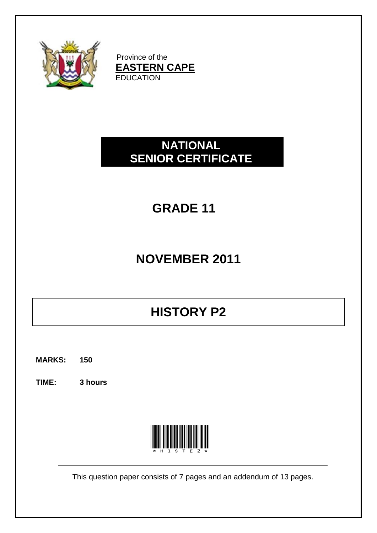

Province of the **EASTERN CAPE EDUCATION** 

### **NATIONAL SENIOR CERTIFICATE**

### **GRADE 11**

# **NOVEMBER 2011**

# **HISTORY P2**

**MARKS: 150**

**TIME: 3 hours**



This question paper consists of 7 pages and an addendum of 13 pages.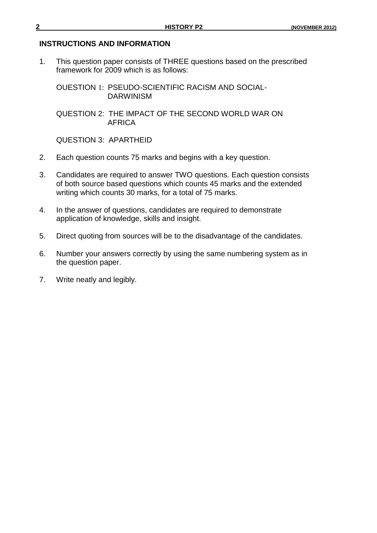#### **INSTRUCTIONS AND INFORMATION**

1. This question paper consists of THREE questions based on the prescribed framework for 2009 which is as follows:

OUESTION 1: PSEUDO-SCIENTIFIC RACISM AND SOCIAL-DARWINISM

QUESTION 2: THE IMPACT OF THE SECOND WORLD WAR ON AFRICA

QUESTION 3: APARTHEID

- 2. Each question counts 75 marks and begins with a key question.
- 3. Candidates are required to answer TWO questions. Each question consists of both source based questions which counts 45 marks and the extended writing which counts 30 marks, for a total of 75 marks.
- 4. In the answer of questions, candidates are required to demonstrate application of knowledge, skills and insight.
- 5. Direct quoting from sources will be to the disadvantage of the candidates.
- 6. Number your answers correctly by using the same numbering system as in the question paper.
- 7. Write neatly and legibly.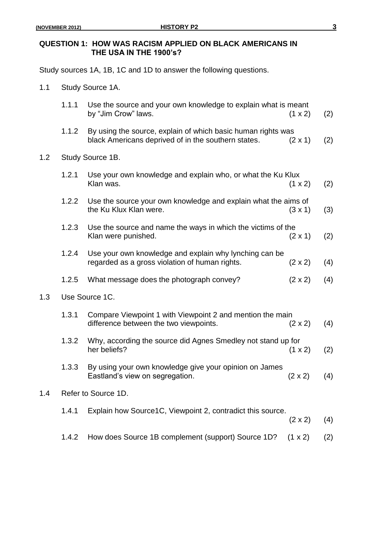$1.2$ 

 $1.3$ 

 $1.4$ 

#### **QUESTION 1: HOW WAS RACISM APPLIED ON BLACK AMERICANS IN THE USA IN THE 1900's?**

Study sources 1A, 1B, 1C and 1D to answer the following questions.

1.1 Study Source 1A.

|                     | 1.1.1          | Use the source and your own knowledge to explain what is meant<br>by "Jim Crow" laws.                               | $(1 \times 2)$ | (2) |
|---------------------|----------------|---------------------------------------------------------------------------------------------------------------------|----------------|-----|
|                     | 1.1.2          | By using the source, explain of which basic human rights was<br>black Americans deprived of in the southern states. | $(2 \times 1)$ | (2) |
|                     |                | Study Source 1B.                                                                                                    |                |     |
|                     | 1.2.1          | Use your own knowledge and explain who, or what the Ku Klux<br>Klan was.                                            | $(1 \times 2)$ | (2) |
|                     | 1.2.2          | Use the source your own knowledge and explain what the aims of<br>the Ku Klux Klan were.                            | $(3 \times 1)$ | (3) |
|                     | 1.2.3          | Use the source and name the ways in which the victims of the<br>Klan were punished.                                 | $(2 \times 1)$ | (2) |
|                     | 1.2.4          | Use your own knowledge and explain why lynching can be<br>regarded as a gross violation of human rights.            | $(2 \times 2)$ | (4) |
|                     | 1.2.5          | What message does the photograph convey?                                                                            | $(2 \times 2)$ | (4) |
|                     | Use Source 1C. |                                                                                                                     |                |     |
|                     | 1.3.1          | Compare Viewpoint 1 with Viewpoint 2 and mention the main<br>difference between the two viewpoints.                 | $(2 \times 2)$ | (4) |
|                     | 1.3.2          | Why, according the source did Agnes Smedley not stand up for<br>her beliefs?                                        | $(1 \times 2)$ | (2) |
|                     | 1.3.3          | By using your own knowledge give your opinion on James<br>Eastland's view on segregation.                           | $(2 \times 2)$ | (4) |
| Refer to Source 1D. |                |                                                                                                                     |                |     |
|                     | 1.4.1          | Explain how Source1C, Viewpoint 2, contradict this source.                                                          | $(2 \times 2)$ | (4) |
|                     | 1.4.2          | How does Source 1B complement (support) Source 1D?                                                                  | $(1 \times 2)$ | (2) |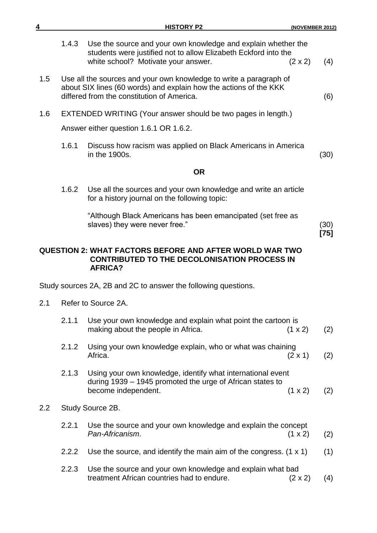| 4   |       | <b>HISTORY P2</b>                                                                                                                                                                     | (NOVEMBER 2012)       |
|-----|-------|---------------------------------------------------------------------------------------------------------------------------------------------------------------------------------------|-----------------------|
|     | 1.4.3 | Use the source and your own knowledge and explain whether the<br>students were justified not to allow Elizabeth Eckford into the<br>white school? Motivate your answer.               | $(2 \times 2)$<br>(4) |
| 1.5 |       | Use all the sources and your own knowledge to write a paragraph of<br>about SIX lines (60 words) and explain how the actions of the KKK<br>differed from the constitution of America. | (6)                   |
| 1.6 |       | EXTENDED WRITING (Your answer should be two pages in length.)                                                                                                                         |                       |
|     |       | Answer either question 1.6.1 OR 1.6.2.                                                                                                                                                |                       |
|     | 1.6.1 | Discuss how racism was applied on Black Americans in America<br>in the 1900s.                                                                                                         | (30)                  |
|     |       | <b>OR</b>                                                                                                                                                                             |                       |
|     | 1.6.2 | Use all the sources and your own knowledge and write an article<br>for a history journal on the following topic:                                                                      |                       |
|     |       | "Although Black Americans has been emancipated (set free as<br>slaves) they were never free."                                                                                         | (30)<br>$[75]$        |
|     |       | <b>QUESTION 2: WHAT FACTORS BEFORE AND AFTER WORLD WAR TWO</b><br><b>CONTRIBUTED TO THE DECOLONISATION PROCESS IN</b><br><b>AFRICA?</b>                                               |                       |
|     |       | Study sources 2A, 2B and 2C to answer the following questions.                                                                                                                        |                       |
| 2.1 |       | Refer to Source 2A.                                                                                                                                                                   |                       |
|     | 2.1.1 | Use your own knowledge and explain what point the cartoon is<br>making about the people in Africa.                                                                                    | $(1 \times 2)$<br>(2) |
|     | 2.1.2 | Using your own knowledge explain, who or what was chaining<br>Africa.                                                                                                                 | $(2 \times 1)$<br>(2) |
|     | 2.1.3 | Using your own knowledge, identify what international event<br>during 1939 – 1945 promoted the urge of African states to<br>become independent.                                       | (1 x 2)<br>(2)        |
| 2.2 |       | Study Source 2B.                                                                                                                                                                      |                       |
|     | 2.2.1 | Use the source and your own knowledge and explain the concept<br>Pan-Africanism.                                                                                                      | $(1 \times 2)$<br>(2) |
|     | 2.2.2 | Use the source, and identify the main aim of the congress. $(1 \times 1)$                                                                                                             | (1)                   |
|     | 2.2.3 | Use the source and your own knowledge and explain what bad<br>treatment African countries had to endure.                                                                              | $(2 \times 2)$<br>(4) |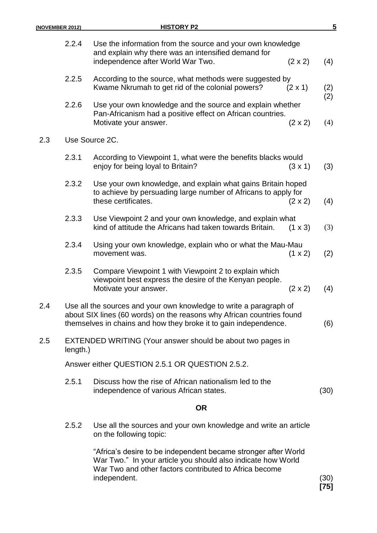| (NOVEMBER 2012) |       | <b>HISTORY P2</b>                                                                                                                                                                                               | 5            |
|-----------------|-------|-----------------------------------------------------------------------------------------------------------------------------------------------------------------------------------------------------------------|--------------|
|                 | 2.2.4 | Use the information from the source and your own knowledge<br>and explain why there was an intensified demand for<br>independence after World War Two.<br>$(2 \times 2)$                                        | (4)          |
|                 | 2.2.5 | According to the source, what methods were suggested by<br>Kwame Nkrumah to get rid of the colonial powers?<br>$(2 \times 1)$                                                                                   | (2)          |
|                 | 2.2.6 | Use your own knowledge and the source and explain whether<br>Pan-Africanism had a positive effect on African countries.<br>Motivate your answer.<br>$(2 \times 2)$                                              | (2)<br>(4)   |
| 2.3             |       | Use Source 2C.                                                                                                                                                                                                  |              |
|                 | 2.3.1 | According to Viewpoint 1, what were the benefits blacks would<br>enjoy for being loyal to Britain?<br>$(3 \times 1)$                                                                                            | (3)          |
|                 | 2.3.2 | Use your own knowledge, and explain what gains Britain hoped<br>to achieve by persuading large number of Africans to apply for<br>these certificates.<br>$(2 \times 2)$                                         | (4)          |
|                 | 2.3.3 | Use Viewpoint 2 and your own knowledge, and explain what<br>kind of attitude the Africans had taken towards Britain.<br>$(1 \times 3)$                                                                          | (3)          |
|                 | 2.3.4 | Using your own knowledge, explain who or what the Mau-Mau<br>movement was.<br>$(1 \times 2)$                                                                                                                    | (2)          |
|                 | 2.3.5 | Compare Viewpoint 1 with Viewpoint 2 to explain which<br>viewpoint best express the desire of the Kenyan people.<br>Motivate your answer.<br>$(2 \times 2)$                                                     | (4)          |
| 2.4             |       | Use all the sources and your own knowledge to write a paragraph of<br>about SIX lines (60 words) on the reasons why African countries found<br>themselves in chains and how they broke it to gain independence. | (6)          |
| 2.5<br>length.) |       | EXTENDED WRITING (Your answer should be about two pages in                                                                                                                                                      |              |
|                 |       | Answer either QUESTION 2.5.1 OR QUESTION 2.5.2.                                                                                                                                                                 |              |
|                 | 2.5.1 | Discuss how the rise of African nationalism led to the<br>independence of various African states.                                                                                                               | (30)         |
|                 |       | <b>OR</b>                                                                                                                                                                                                       |              |
|                 | 2.5.2 | Use all the sources and your own knowledge and write an article<br>on the following topic:                                                                                                                      |              |
|                 |       | "Africa's desire to be independent became stronger after World<br>War Two." In your article you should also indicate how World<br>War Two and other factors contributed to Africa become<br>independent.        | (30)<br>[75] |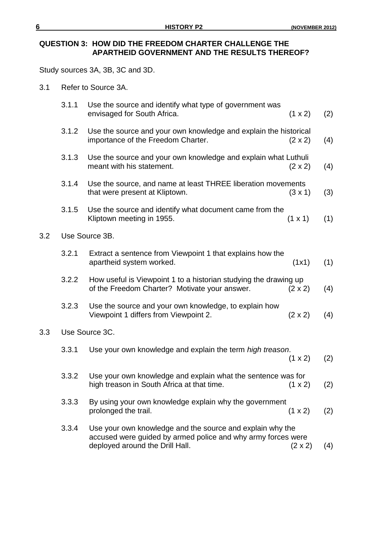### **QUESTION 3: HOW DID THE FREEDOM CHARTER CHALLENGE THE APARTHEID GOVERNMENT AND THE RESULTS THEREOF?**

Study sources 3A, 3B, 3C and 3D.

3.1 Refer to Source 3A.

|                | 3.1.1 | Use the source and identify what type of government was<br>envisaged for South Africa.                                                                       | (1 x 2)        | (2) |
|----------------|-------|--------------------------------------------------------------------------------------------------------------------------------------------------------------|----------------|-----|
|                | 3.1.2 | Use the source and your own knowledge and explain the historical<br>importance of the Freedom Charter.                                                       | $(2 \times 2)$ | (4) |
|                | 3.1.3 | Use the source and your own knowledge and explain what Luthuli<br>meant with his statement.                                                                  | $(2 \times 2)$ | (4) |
|                | 3.1.4 | Use the source, and name at least THREE liberation movements<br>that were present at Kliptown.                                                               | $(3 \times 1)$ | (3) |
|                | 3.1.5 | Use the source and identify what document came from the<br>Kliptown meeting in 1955.                                                                         | $(1 \times 1)$ | (1) |
|                |       | Use Source 3B.                                                                                                                                               |                |     |
|                | 3.2.1 | Extract a sentence from Viewpoint 1 that explains how the<br>apartheid system worked.                                                                        | (1x1)          | (1) |
|                | 3.2.2 | How useful is Viewpoint 1 to a historian studying the drawing up<br>of the Freedom Charter? Motivate your answer.                                            | $(2 \times 2)$ | (4) |
|                | 3.2.3 | Use the source and your own knowledge, to explain how<br>Viewpoint 1 differs from Viewpoint 2.                                                               | $(2 \times 2)$ | (4) |
| Use Source 3C. |       |                                                                                                                                                              |                |     |
|                | 3.3.1 | Use your own knowledge and explain the term high treason.                                                                                                    | (1 x 2)        | (2) |
|                | 3.3.2 | Use your own knowledge and explain what the sentence was for<br>high treason in South Africa at that time.                                                   | $(1 \times 2)$ | (2) |
|                | 3.3.3 | By using your own knowledge explain why the government<br>prolonged the trail.                                                                               | (1 x 2)        | (2) |
|                | 3.3.4 | Use your own knowledge and the source and explain why the<br>accused were guided by armed police and why army forces were<br>deployed around the Drill Hall. | $(2 \times 2)$ | (4) |

 $3.2$ 

 $3.3$